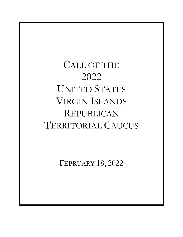## CALL OF THE 2022 UNITED STATES VIRGIN ISLANDS REPUBLICAN TERRITORIAL CAUCUS

FEBRUARY 18, 2022

 $\mathcal{L}=\mathcal{L}^{\mathcal{L}}$